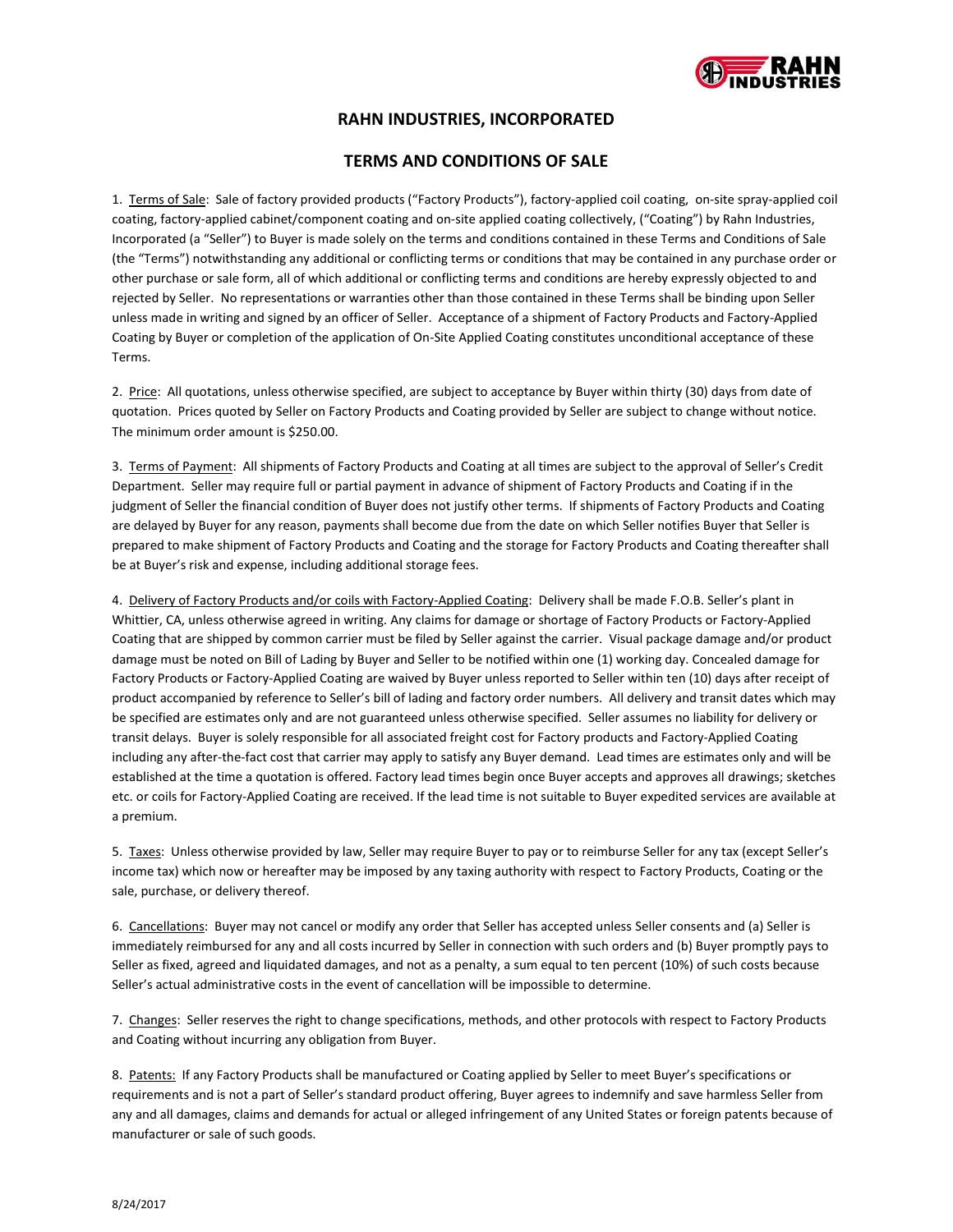

# **RAHN INDUSTRIES, INCORPORATED**

## **TERMS AND CONDITIONS OF SALE**

1. Terms of Sale: Sale of factory provided products ("Factory Products"), factory-applied coil coating, on-site spray-applied coil coating, factory-applied cabinet/component coating and on-site applied coating collectively, ("Coating") by Rahn Industries, Incorporated (a "Seller") to Buyer is made solely on the terms and conditions contained in these Terms and Conditions of Sale (the "Terms") notwithstanding any additional or conflicting terms or conditions that may be contained in any purchase order or other purchase or sale form, all of which additional or conflicting terms and conditions are hereby expressly objected to and rejected by Seller. No representations or warranties other than those contained in these Terms shall be binding upon Seller unless made in writing and signed by an officer of Seller. Acceptance of a shipment of Factory Products and Factory-Applied Coating by Buyer or completion of the application of On-Site Applied Coating constitutes unconditional acceptance of these Terms.

2. Price: All quotations, unless otherwise specified, are subject to acceptance by Buyer within thirty (30) days from date of quotation. Prices quoted by Seller on Factory Products and Coating provided by Seller are subject to change without notice. The minimum order amount is \$250.00.

3. Terms of Payment: All shipments of Factory Products and Coating at all times are subject to the approval of Seller's Credit Department. Seller may require full or partial payment in advance of shipment of Factory Products and Coating if in the judgment of Seller the financial condition of Buyer does not justify other terms. If shipments of Factory Products and Coating are delayed by Buyer for any reason, payments shall become due from the date on which Seller notifies Buyer that Seller is prepared to make shipment of Factory Products and Coating and the storage for Factory Products and Coating thereafter shall be at Buyer's risk and expense, including additional storage fees.

4. Delivery of Factory Products and/or coils with Factory-Applied Coating: Delivery shall be made F.O.B. Seller's plant in Whittier, CA, unless otherwise agreed in writing. Any claims for damage or shortage of Factory Products or Factory-Applied Coating that are shipped by common carrier must be filed by Seller against the carrier. Visual package damage and/or product damage must be noted on Bill of Lading by Buyer and Seller to be notified within one (1) working day. Concealed damage for Factory Products or Factory-Applied Coating are waived by Buyer unless reported to Seller within ten (10) days after receipt of product accompanied by reference to Seller's bill of lading and factory order numbers. All delivery and transit dates which may be specified are estimates only and are not guaranteed unless otherwise specified. Seller assumes no liability for delivery or transit delays. Buyer is solely responsible for all associated freight cost for Factory products and Factory-Applied Coating including any after-the-fact cost that carrier may apply to satisfy any Buyer demand. Lead times are estimates only and will be established at the time a quotation is offered. Factory lead times begin once Buyer accepts and approves all drawings; sketches etc. or coils for Factory-Applied Coating are received. If the lead time is not suitable to Buyer expedited services are available at a premium.

5. Taxes: Unless otherwise provided by law, Seller may require Buyer to pay or to reimburse Seller for any tax (except Seller's income tax) which now or hereafter may be imposed by any taxing authority with respect to Factory Products, Coating or the sale, purchase, or delivery thereof.

6. Cancellations: Buyer may not cancel or modify any order that Seller has accepted unless Seller consents and (a) Seller is immediately reimbursed for any and all costs incurred by Seller in connection with such orders and (b) Buyer promptly pays to Seller as fixed, agreed and liquidated damages, and not as a penalty, a sum equal to ten percent (10%) of such costs because Seller's actual administrative costs in the event of cancellation will be impossible to determine.

7. Changes: Seller reserves the right to change specifications, methods, and other protocols with respect to Factory Products and Coating without incurring any obligation from Buyer.

8. Patents: If any Factory Products shall be manufactured or Coating applied by Seller to meet Buyer's specifications or requirements and is not a part of Seller's standard product offering, Buyer agrees to indemnify and save harmless Seller from any and all damages, claims and demands for actual or alleged infringement of any United States or foreign patents because of manufacturer or sale of such goods.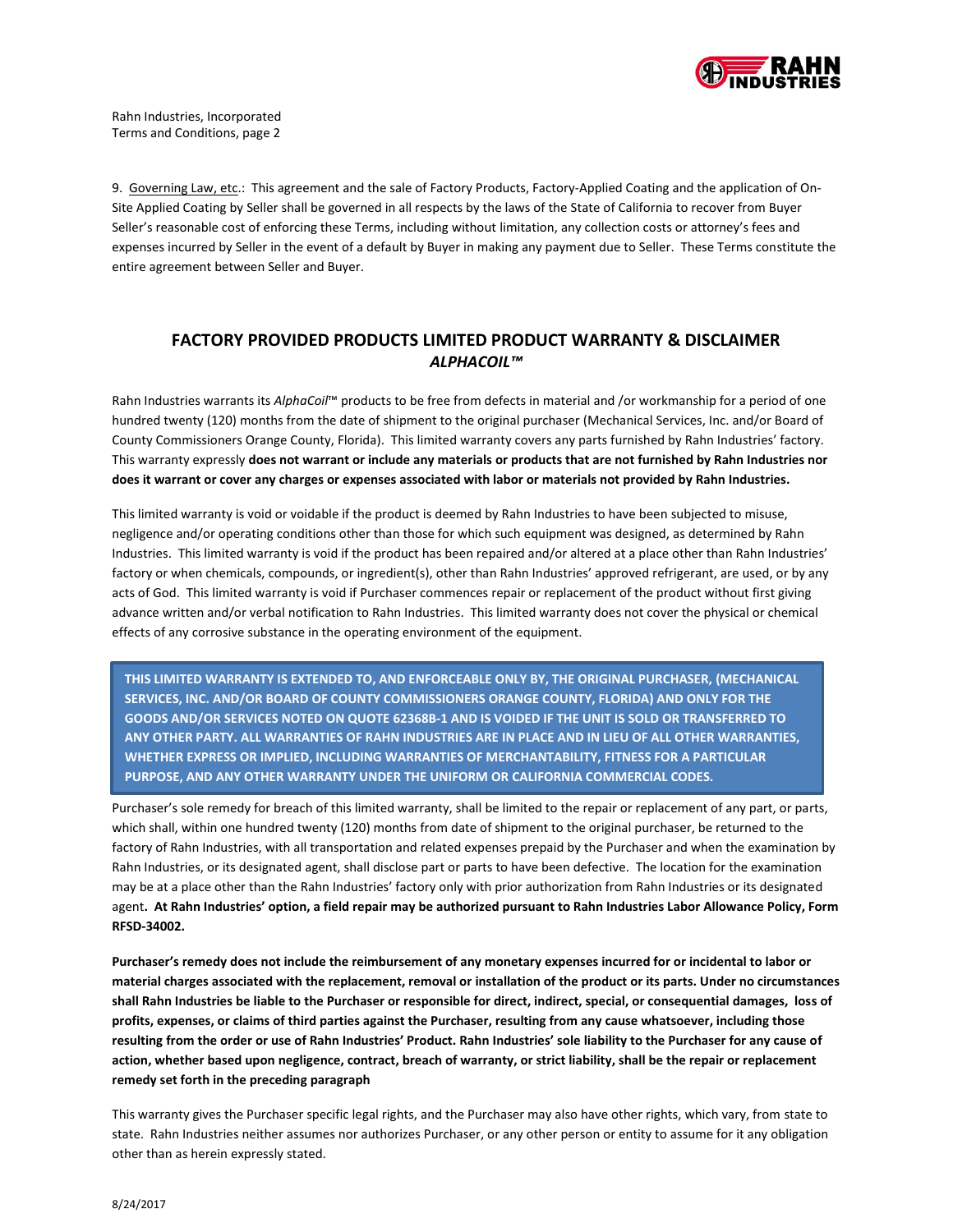

9. Governing Law, etc.: This agreement and the sale of Factory Products, Factory-Applied Coating and the application of On-Site Applied Coating by Seller shall be governed in all respects by the laws of the State of California to recover from Buyer Seller's reasonable cost of enforcing these Terms, including without limitation, any collection costs or attorney's fees and expenses incurred by Seller in the event of a default by Buyer in making any payment due to Seller. These Terms constitute the entire agreement between Seller and Buyer.

# **FACTORY PROVIDED PRODUCTS LIMITED PRODUCT WARRANTY & DISCLAIMER** *ALPHACOIL™*

Rahn Industries warrants its *AlphaCoil*™ products to be free from defects in material and /or workmanship for a period of one hundred twenty (120) months from the date of shipment to the original purchaser (Mechanical Services, Inc. and/or Board of County Commissioners Orange County, Florida). This limited warranty covers any parts furnished by Rahn Industries' factory. This warranty expressly **does not warrant or include any materials or products that are not furnished by Rahn Industries nor does it warrant or cover any charges or expenses associated with labor or materials not provided by Rahn Industries.**

This limited warranty is void or voidable if the product is deemed by Rahn Industries to have been subjected to misuse, negligence and/or operating conditions other than those for which such equipment was designed, as determined by Rahn Industries. This limited warranty is void if the product has been repaired and/or altered at a place other than Rahn Industries' factory or when chemicals, compounds, or ingredient(s), other than Rahn Industries' approved refrigerant, are used, or by any acts of God. This limited warranty is void if Purchaser commences repair or replacement of the product without first giving advance written and/or verbal notification to Rahn Industries. This limited warranty does not cover the physical or chemical effects of any corrosive substance in the operating environment of the equipment.

**THIS LIMITED WARRANTY IS EXTENDED TO, AND ENFORCEABLE ONLY BY, THE ORIGINAL PURCHASER, (MECHANICAL SERVICES, INC. AND/OR BOARD OF COUNTY COMMISSIONERS ORANGE COUNTY, FLORIDA) AND ONLY FOR THE GOODS AND/OR SERVICES NOTED ON QUOTE 62368B-1 AND IS VOIDED IF THE UNIT IS SOLD OR TRANSFERRED TO ANY OTHER PARTY. ALL WARRANTIES OF RAHN INDUSTRIES ARE IN PLACE AND IN LIEU OF ALL OTHER WARRANTIES, WHETHER EXPRESS OR IMPLIED, INCLUDING WARRANTIES OF MERCHANTABILITY, FITNESS FOR A PARTICULAR PURPOSE, AND ANY OTHER WARRANTY UNDER THE UNIFORM OR CALIFORNIA COMMERCIAL CODES.**

Purchaser's sole remedy for breach of this limited warranty, shall be limited to the repair or replacement of any part, or parts, which shall, within one hundred twenty (120) months from date of shipment to the original purchaser, be returned to the factory of Rahn Industries, with all transportation and related expenses prepaid by the Purchaser and when the examination by Rahn Industries, or its designated agent, shall disclose part or parts to have been defective. The location for the examination may be at a place other than the Rahn Industries' factory only with prior authorization from Rahn Industries or its designated agent**. At Rahn Industries' option, a field repair may be authorized pursuant to Rahn Industries Labor Allowance Policy, Form RFSD-34002.**

**Purchaser's remedy does not include the reimbursement of any monetary expenses incurred for or incidental to labor or material charges associated with the replacement, removal or installation of the product or its parts. Under no circumstances shall Rahn Industries be liable to the Purchaser or responsible for direct, indirect, special, or consequential damages, loss of profits, expenses, or claims of third parties against the Purchaser, resulting from any cause whatsoever, including those resulting from the order or use of Rahn Industries' Product. Rahn Industries' sole liability to the Purchaser for any cause of action, whether based upon negligence, contract, breach of warranty, or strict liability, shall be the repair or replacement remedy set forth in the preceding paragraph**

This warranty gives the Purchaser specific legal rights, and the Purchaser may also have other rights, which vary, from state to state. Rahn Industries neither assumes nor authorizes Purchaser, or any other person or entity to assume for it any obligation other than as herein expressly stated.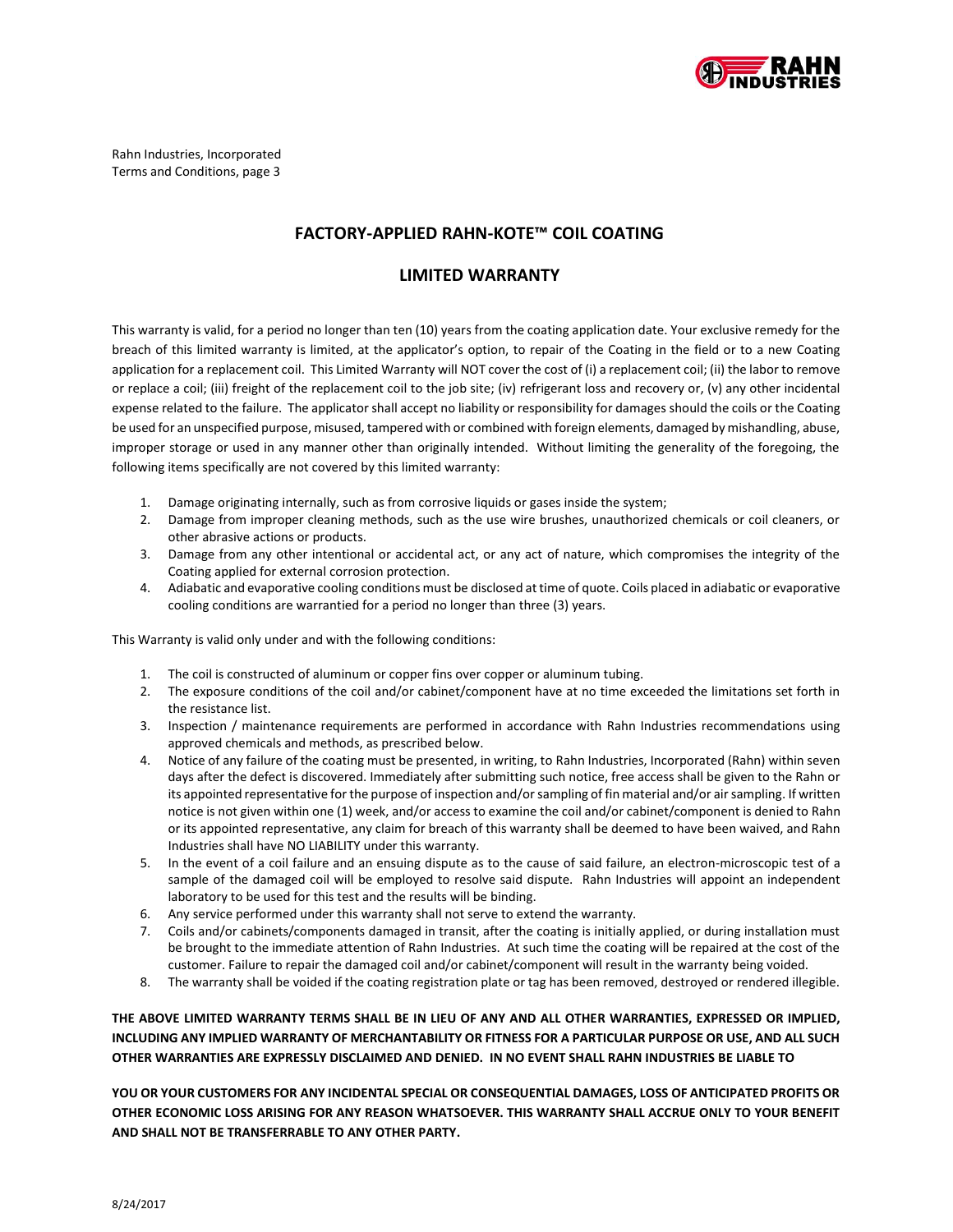

Rahn Industries, Incorporated Terms and Conditions, page 3

### **FACTORY-APPLIED RAHN-KOTE™ COIL COATING**

#### **LIMITED WARRANTY**

This warranty is valid, for a period no longer than ten (10) years from the coating application date. Your exclusive remedy for the breach of this limited warranty is limited, at the applicator's option, to repair of the Coating in the field or to a new Coating application for a replacement coil. This Limited Warranty will NOT cover the cost of (i) a replacement coil; (ii) the labor to remove or replace a coil; (iii) freight of the replacement coil to the job site; (iv) refrigerant loss and recovery or, (v) any other incidental expense related to the failure. The applicator shall accept no liability or responsibility for damages should the coils or the Coating be used for an unspecified purpose, misused, tampered with or combined with foreign elements, damaged by mishandling, abuse, improper storage or used in any manner other than originally intended. Without limiting the generality of the foregoing, the following items specifically are not covered by this limited warranty:

- 1. Damage originating internally, such as from corrosive liquids or gases inside the system;
- 2. Damage from improper cleaning methods, such as the use wire brushes, unauthorized chemicals or coil cleaners, or other abrasive actions or products.
- 3. Damage from any other intentional or accidental act, or any act of nature, which compromises the integrity of the Coating applied for external corrosion protection.
- 4. Adiabatic and evaporative cooling conditions must be disclosed at time of quote. Coils placed in adiabatic or evaporative cooling conditions are warrantied for a period no longer than three (3) years.

This Warranty is valid only under and with the following conditions:

- 1. The coil is constructed of aluminum or copper fins over copper or aluminum tubing.
- 2. The exposure conditions of the coil and/or cabinet/component have at no time exceeded the limitations set forth in the resistance list.
- 3. Inspection / maintenance requirements are performed in accordance with Rahn Industries recommendations using approved chemicals and methods, as prescribed below.
- 4. Notice of any failure of the coating must be presented, in writing, to Rahn Industries, Incorporated (Rahn) within seven days after the defect is discovered. Immediately after submitting such notice, free access shall be given to the Rahn or its appointed representative for the purpose of inspection and/or sampling of fin material and/or air sampling. If written notice is not given within one (1) week, and/or access to examine the coil and/or cabinet/component is denied to Rahn or its appointed representative, any claim for breach of this warranty shall be deemed to have been waived, and Rahn Industries shall have NO LIABILITY under this warranty.
- 5. In the event of a coil failure and an ensuing dispute as to the cause of said failure, an electron-microscopic test of a sample of the damaged coil will be employed to resolve said dispute. Rahn Industries will appoint an independent laboratory to be used for this test and the results will be binding.
- 6. Any service performed under this warranty shall not serve to extend the warranty.
- 7. Coils and/or cabinets/components damaged in transit, after the coating is initially applied, or during installation must be brought to the immediate attention of Rahn Industries. At such time the coating will be repaired at the cost of the customer. Failure to repair the damaged coil and/or cabinet/component will result in the warranty being voided.
- 8. The warranty shall be voided if the coating registration plate or tag has been removed, destroyed or rendered illegible.

**THE ABOVE LIMITED WARRANTY TERMS SHALL BE IN LIEU OF ANY AND ALL OTHER WARRANTIES, EXPRESSED OR IMPLIED, INCLUDING ANY IMPLIED WARRANTY OF MERCHANTABILITY OR FITNESS FOR A PARTICULAR PURPOSE OR USE, AND ALL SUCH OTHER WARRANTIES ARE EXPRESSLY DISCLAIMED AND DENIED. IN NO EVENT SHALL RAHN INDUSTRIES BE LIABLE TO** 

**YOU OR YOUR CUSTOMERS FOR ANY INCIDENTAL SPECIAL OR CONSEQUENTIAL DAMAGES, LOSS OF ANTICIPATED PROFITS OR OTHER ECONOMIC LOSS ARISING FOR ANY REASON WHATSOEVER. THIS WARRANTY SHALL ACCRUE ONLY TO YOUR BENEFIT AND SHALL NOT BE TRANSFERRABLE TO ANY OTHER PARTY.**